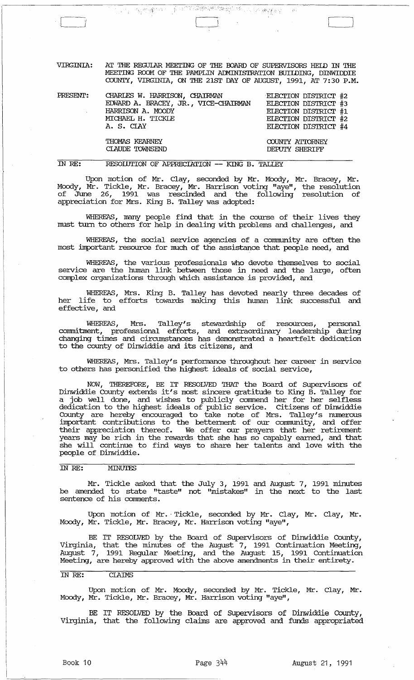$\frac{1}{\left\langle \left\langle \mathcal{M}_{\mathcal{G}}\right\rangle \left\langle \mathcal{M}_{\mathcal{G}}\right\rangle \left\langle \mathcal{M}_{\mathcal{G}}\right\rangle \right\rangle }$ a la construcción de la construcción de la construcción de la construcción de la construcción de la construcción<br>La construcción de la construcción de la construcción de la construcción de la construcción de la construcció 中国的

VIRGINIA: AT THE REGUlAR MEEl'ING OF THE OOARD OF SUPERVISORS HElD IN THE MEETING ROOM OF THE PAMPLIN ADMINISTRATION BUILDING, DINWIDDIE COUNTY, VIRGINIA, ON THE 21ST DAY OF AUGUST, 1991, AT 7:30 P.M.

| PRESENT: | CHARLES W. HARRISON, CHAIRMAN<br>EDWARD A. BRACEY, JR., VICE-CHAIRMAN<br>HARRISON A. MOODY<br>MICHAEL H. TICKLE<br>A. S. CIAY | ELECTION DISTRICT #2<br>ELECTION DISTRICT #3<br>ELECTION DISTRICT #1<br>ELECTION DISTRICT #2<br>ELECTION DISTRICT #4 |
|----------|-------------------------------------------------------------------------------------------------------------------------------|----------------------------------------------------------------------------------------------------------------------|
|          | THOMAS KEARNEY<br>CLAUDE TOWNSEND                                                                                             | COUNTY ATTORNEY<br>DEPUTY SHERIFF                                                                                    |

### IN RE: RESOLUTION OF APPRECIATION -- KING B. TALLEY

Upon motion of Mr. Clay, seconded by Mr. Moody, Mr. Bracey, Mr. Moody, Mr. Tickle, Mr. Bracey, Mr. Harrison voting "aye", the resolution of June 26, 1991 was rescinded and the following resolution of appreciation for Mrs. King B. Talley was adopted:

WHEREAS, many people find that in the course of their lives they must turn to others for help in dealing with problems and challenges, and

WHEREAS, the social service agencies of a conununity are often the most important resource for much of the assistance that people need, and

WHEREAS, the various professionals who devote themselves to social service are the human link between those in need and the large, often complex organizations through which assistance is provided, and

WHEREAS, Mrs. King B. Talley has devoted nearly three decades of her life to efforts towards making this human link successful and effective, and

WHEREAS, Mrs. Talley's stewardship of resources, personal connnitrnent, professional efforts, and extraordinary leadership during changing times and circumstances has demonstrated a heartfelt dedication to the county of Dinwiddie and its citizens, and

WHEREAS, Mrs. Talley's performance throughout her career in service to others has personified the highest ideals of social service,

NOW, THEREFORE, BE IT RESOLVED THAT the Board of SUpervisors of Dinwiddie County extends it's most sincere gratitude to King B. Talley for a job well done, and wishes to publicly commend her for her selfless dedication to the highest ideals of public service. Citizens of Dinwiddie County are hereby encouraged to take note of Mrs. Talley's numerous important contributions to the bettennent of our conununity, and offer their appreciation thereof. We offer our prayers that her retirement years may be rich in the rewards that she has so capably earned, and that she will continue to find ways to share her talents and love with the people of Dinwiddie.

### IN RE: MINUTES

Mr. Tickle asked that the July 3, 1991 and August 7, 1991 minutes be amended to state "taste" not "mistakes" in the next to the last sentence of his comments.

Upon motion of Mr. Tickle, seconded by Mr. Clay, Mr. Clay, Mr. Moody, Mr. Tickle, Mr. Bracey, Mr. Harrison voting "aye",

BE IT RESOLVED by the Board of Supervisors of Dinwiddie County, Virginia, that the minutes of the August 7, 1991 Continuation Meeting, August 7, 1991 Regular Meeting, and the August 15, 1991 Continuation Meeting, are hereby approved with the above amendments in their entirety.

### IN RE: CLAIMS

Upon motion of Mr. Moody, seconded by Mr. Tickle, Mr. Clay, Mr. Moody, Mr. Tickle, Mr. Bracey, Mr. Harrison voting "aye",

BE IT RESOLVED by the Board of Supervisors of Dinwiddie County, Virginia, that the following claims are approved and funds appropriated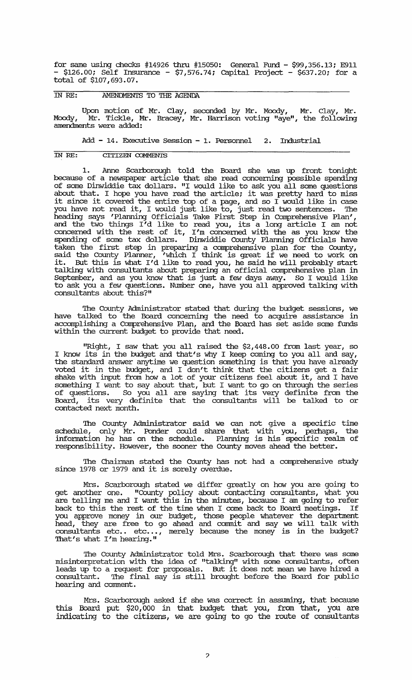for same using checks #14926 thru #15050: General Fund - \$99,356.13; E911 - \$126.00; Self Insurance - \$7,576.74; Capital Project - \$637.20; for a total of \$107,693.07. - \$126.00; Self Insurance - \$7,576.<br>
total of \$107,693.07.<br>
IN RE: **AMENDMENTS** TO THE AGENDA

Upon motion of Mr. Clay, seconded by Mr. Moody, Mr. Clay, Mr. Moody, Mr. Tickle, Mr. Bracey, Mr. Harrison voting "aye", the following amendments were added:

Add - 14. Executive session - 1. Personnel 2. Industrial

### IN RE: CITIZEN COMMENTS

1. Anne Scarborough told the Board she was up front tonight because of a newspaper article that she read concerning possible spending of some Dinwiddie tax dollars. "I would like to ask you all some questions about that. I hope you have read the article; it was pretty hard to miss about that. I hope you have read the article, it was pretty hard to miss you have not read it, I would just like to, just read two sentences. '!he heading says 'Planning Officials Take First Step in Comprehensive Plan', and the two things I'd like to read you, its a long article I am not concerned with the rest of it, I'm concerned with the as you know the spending of some tax dollars. Dinwiddie County Planning Officials have taken the first step in preparing a comprehensive plan for the County, said the County Planner, 'which I think is great if we need to work on it. But this is what I'd like to read you, he said he will probably start talking with consultants about preparing an official comprehensive plan in September, and as you know that is just a few days away. So I would like to ask you a few questions. Number one, have you all approved talking with consultants about this?"

The County Administrator stated that during the budget sessions, we have talked to the Board concerning the need to acquire assistance in accomplishing a Comprehensive Plan, and the Board has set aside some funds within the current budget to provide that need.

"Right, I saw that you all raised the \$2,448.00 from last year, so I know its in the budget and that's why I keep coming to you all and say, the standard answer anytime we question something is that you have already voted it in the budget, and I don't think that the citizens get a fair shake with input from how a lot of your citizens feel about it, and I have something I want to say about that, but I want to go on through the series of questions. So you all are saying that its very definite from the Board, its very definite that the consultants will be talked to or contacted next month.

The County Administrator said we can not give a specific time schedule, only Mr. Ponder could share that with you, perhaps, the information he has on the schedule. Planning is his specific realm of responsibility. However, the sooner the County moves ahead the better.

The Chairman stated the County has not had a comprehensive study since 1978 or 1979 and it is sorely overdue.

Mrs. Scarborough stated we differ greatly on how you are going to get another one. "County policy about contacting consultants, what you are telling me and I want this in the minutes, because I am going to refer back to this the rest of the time when I come back to Board meetings. If you approve money in our budget, those people whatever the department head, they are free to go ahead and commit and say we will talk with nead, diey are free to go allead and commit and say we will cans with That's what I'm hearing."

The County Administrator told Mrs. Scarborough that there was some misinterpretation with the idea of "talking" with some consultants, often leads up to a request for proposals. But it does not mean we have hired a consultant. '!he final say is still brought before the Board for public hearing and comment.

Mrs. Scarborough asked if she was correct in assuming, that because this Board put \$20,000 in that budget that you, from that, you are indicating to the citizens, we are going to go the route of consultants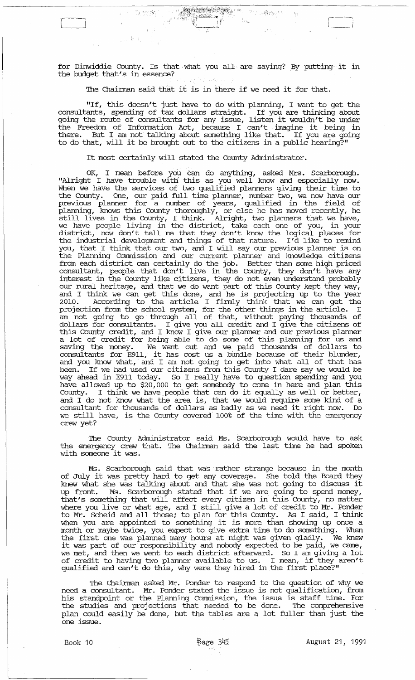for Dinwiddie County. Is that, what you all, are saying? By putting it in the budget that's in essence? الوالد الإيكادي

julikat.

The Chairman said that it is in there if we need it for that.

"If, this doesn't just have to do with planning, I want to get the consultants, spending of tax dollars straight. If you are thinking about going the route of consultants for any issue, listen it wouldn't be under young the foute of consultants for any issue, fisten it wouldn't be under<br>the Freedom of Information Act, because I can't imagine it being in there. But I am not' talking about something like that. If you are going to do that, will it be brought out to the citizens in a public hearing?"

It most certainly will stated the County Administrator.

OK, I mean before you Can do anything, asked Mrs. Scarborough. "Alright I have trouble with this as you well know and especially now. When we have the services of two qualified planners giving their time to the County. One, our paid full time planner, number two, we now have our previous planner for a number of years, qualified in the field of planning, knows this County thoroughly, or else he has moved recently, he proming, shows this county thoroughly, or clue has moved recently, he<br>still lives in the County, I think. Alright, two planners that we have, we have people living in the district, take each one of you, in your district, now don't tell me that they don't know the logical places for the industrial development and things of that nature. I'd like to remind you, that I think that our two, and I will say our previous planner is on the Planning Commission and our current planner and knowledge citizens from each district can certainly do the job. Better than some high priced consultant, people that don't live in the County, they don't have any interest in the County like citizens, they do not even understand probably our rural heritage, and that we do want part of this County kept they way, and I think we can get this done, and he is projecting up to the year 2010. According to the article I finnly think that we can get the projection from the school system, for the other things in the article. I am not going to go through all of that, without paying thousands of dollars for consultants. I give you all credit and I give the citizens of this County credit, and I know I give our planner and our. previous planner a lot of credit for being able to do some of this planning for us and saving the money. We went out and we paid thousands of dollars to consultants for E911, it has cost us a bUndle because of their blunder, and you know what, and I am not going to get into what all of that has been. If we had used our citizens from this County I dare say we would be way ahead in E911 today. So I really have to question spending and you have allowed up to \$20,000 to get somebody to come in here and plan this County. I think we have people that can do it equally as well or better, and I do not know what the area is, that we would require some kind of a consultant for thousands of dollars as badly as we need it right now. Do consurant for diodsalas of doffars as badly as we head it fight how. Both we still have, is the County covered 100% of the time with the emergency crew yet?

The County Administrator said Ms. Scarborough would have to ask the emergency crew that. The Chairman said the last time he had spoken with someone it was.

Ms. Scarborough said that was' rather strange because in the month ms. Scarborough said that was rather strange because in the month knew what she was talking about and that she was not going to discuss it up front. Ms. Scarborough stated that if we are going to spend money, that's something that will affect every citizen in this County, no matter where you live or what age, and I still give a lot of credit to Mr. Ponder miche for the of what age, and I being give a 199 of orodate of the remach when you are appointed to something it is more than showing up once a month or maybe twice, you expect to give extra time to do something. When the first one was planned many hours at night was given gladly. We knew the first one was planned many nours at night was given gladly. We knew<br>it was part of our responsibility and nobody expected to be paid, we came, we met, and then we went to each district afterward. So I am giving a lot of credit to having two planner available to us. I mean, if they aren't of clears to having two praincr available to as. I mean, if any temperature qualified and can't do this, why were they hired in the first place?"

The Chairman asked Mr. Ponder to respond to the question of why we need a consultant. Mr. Ponder stated the issue is not qualification, from his standpoint or the Planning Commission, the issue is staff time. For the studies and projections that needed to be done. The comprehensive plan could easily be done, but the tables are a lot fuller than just the one issue.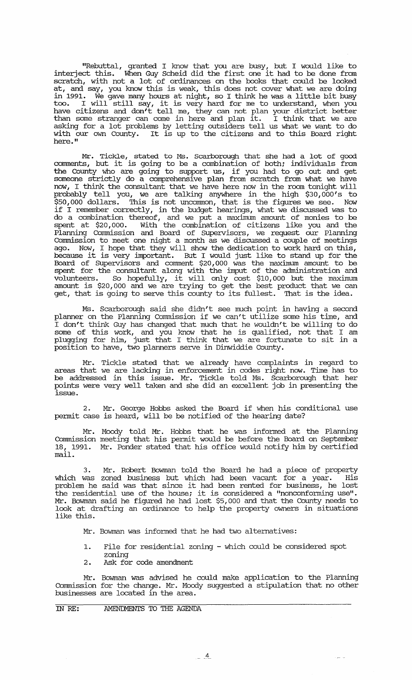"Rebuttal, granted I know that you are busy, but I would like to interject this. When Guy Scheid did the first one it had to be done from scratch, with not a lot of ordinances on the books that could be looked at, and say, you know this is weak, this does not cover what we are doing in 1991. We gave many hours at night, so I think he was a little bit busy In 1991. We gave many nours at night, so I dilik he was a fittle bit busy<br>too. I will still say, it is very hard for me to understand, when you have citizens and don't tell me, they can not plan your district better than some stranger can come in here and plan it. I think that we are asking for a lot problems by letting outsiders tell us what we want to do with our own County. It is up to the citizens and to this Board right here."

Mr. Tickle, stated to Ms. Scarborough that she had a lot of good comments, but it is going to be a combination of both; individuals from the County who are going to support us, if you had to go out and get someone strictly do a comprehensive plan from scratch from what we have now, I think the consultant that we have here now in the room tonight will probably tell you, we are talking anywhere in the high \$30,000's to \$50,000 dollars. This is not uncommon, that is the figures we see. Now if I remember correctly, in the budget hearings, what we discussed was to do a combination thereof, and we put a maximum amount of monies to be spent at \$20,000. With the combination of citizens like you and the Planning commission and Board of supervisors, we request our Planning commission to meet one night a month as we discussed a couple of meetings ago. Now, I hope that they will show the dedication to work hard on this, because it is very important. But I would just like to stand up for the Board of Supervisors and comment \$20,000 was the maximum amount to be spent for the consultant along with the imput of the administration and volunteers. So hopefully, it will only cost \$10,000 but the maximum amount is \$20,000 and we are trying to get the best product that we can allows is the good will no wide diging to good allowsed produce which we can<br>get, that is going to serve this county to its fullest. That is the idea.

Ms. Scarborough said she didn't see much point in having a second planner on the Planning Commission if we can't utilize some his time, and I don't think Guy has changed that much that he wouldn't be willing to do some of this work, and you know that he is qualified, not that I am plugging for him, just that I think that we are fortunate to sit in a position to have, two planners serve in Dinwiddie County.

Mr. Tickle stated that we already have complaints in regard to areas that we are lacking in enforcement in codes right now. Time has to be addressed in this issue. Mr. Tickle told Ms. Scarborough that her points were very well taken and she did an excellent job in presenting the issue.

2. Mr. George Hobbs asked the Board if when his conditional use permit case is heard, will be be notified of the hearing date?

Mr. Moody told Mr. Hobbs that he was informed at the Planning commission meeting that his permit would be before the Board on September 18, 1991. Mr. Ponder stated that his office would notify him by certified mail.

3. Mr. Robert Bowman told the Board he had a piece of property which was zoned business but which had been vacant for a year. His which was zoned business but which had been vacant for a year. This problem he said was that since it had been rented for business, he lost the residential use of the house; it is considered a "nonconforming use". Mr. Bowman said he figured he had lost \$5,000 and that the County needs to look at drafting an ordinance to help the property owners in situations like this.

Mr. Bowman was informed that he had two alternatives:

- 1. File for residential zoning which could be considered spot zoning
- 2. Ask for code amendment

Mr. Bowman was advised he could make application to the Planning Commission for the change. Mr. Moody suggested a stipulation that no other businesses are located in the area.

IN RE: AMENIMENTS TO THE AGENDA

للأرساء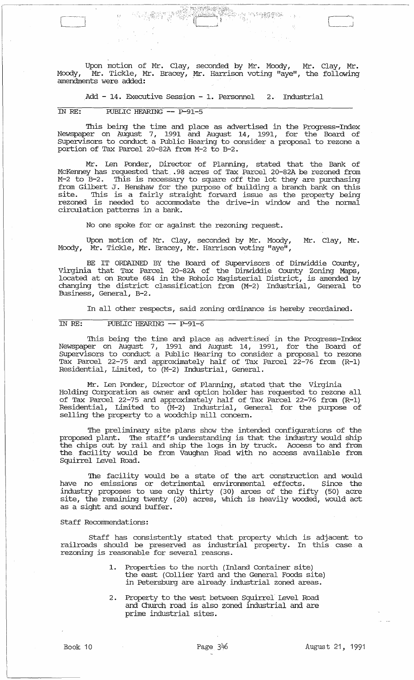Upon motion of Mr. Clay, seconded by Mr. Moody, Mr. Clay, Mr • Moody, Mr. Tickle, Mr. Bracey, Mr. Harrison voting "aye", the following amendments were added:

.Add - 14 . Executive Session - 1. Personnel 2. Industrial

# IN RE: PUBLIC HEARING **--** P-91-5

 $\mathbb{C}^2$ 

 $\mathbb{R}^2$ 

This being the time and place as advertised in the Progress-Index Newspaper on August 7, 1991 and August 14, 1991, for the Board of supervisors to conduct a Public Hearing to consider a proposal to rezone a portion of Tax Parcel 20-82A from M-2 to B-2.

Mr. Len Ponder, Director of Planning, stated that the Bank of McKenney has requested that ,98 acres of Tax Parcel 20-82A be rezoned from M-2 to B-2. This is necessary to square off the lot they are purchasing from Gilbert J. Henshaw for the purpose of building a branch bank on this site. This is a fairly straight forward issue as the property being rezoned is needed to accommodate the drive-in window and the normal circulation patterns in a bank.

No one spoke for or against the rezoning request.

Upon motion of Mr. Clay, seconded by Mr. Moody, Moody, Mr. Tickle, Mr. Bracey, Mr. Harrison voting "aye", Mr. Clay, Mr.

BE IT ORDAINED BY the Board of Supervisors of Dinwiddie County, Virginia that Tax Parcel 20-82A of the Dinwiddie County Zoning Maps, located at on Route 684 in the Rohoic Magisterial District, is amended by changing the district classification from (M-2) Industrial, General to Business, General, B-2.

In all other respects, said zoning ordinance is hereby reordained.

# IN RE: PUBLIC HEARING **--** P-91-6

This being the time and place as advertised in the Progress-Index Newspaper on August 7, 1991 and August 14, 1991, for the Board of supervisors to conduct a Public Hearing to consider a proposal to rezone Tax Parcel 22-75 and approximately half of Tax Parcel 22-76 from (R-1) Residential, Limited, to (M-2) Industrial, General.

Mr. Len Ponder, Director of Planning, stated that the Virginia Holding Corporation as owner and option holder has requested to rezone all of Tax Parcel 22-75 and approximately half of Tax Parcel 22-76 from (R-1) Residential, Limited to (M-2) Industrial, General for the purpose of selling the property to a woodchip mill concern.

The preliminary site plans show the intended configurations of the proposed plant. The staff's understanding is that the industry would ship the chips out by rail and ship the logs in by truck. Access to and from the facility would be from Vaughan Road with no access available from Squirrel Level Road.

The facility would be a state of the art construction and would have no emissions or detrimental environmental effects. Since the industry proposes to use only thirty (30) arces of the fifty (50) acre site, the remaining twenty (20) acres, which is heavily wooded, would act as a sight and sound buffer.

### staff Recommendations:

Staff has consistently stated that property which is adjacent to railroads should be preserved as industrial property. In this case a rezoning is reasonable for several reasons.

- 1. Properties to the north (Inland container site) the east (Collier Yard and the General Foods site) in Petersburg are already, industrial zoned areas.
- 2 . Property to the west between Squirrel Level Road and Church road is also zoned industrial and are prime industrial sites.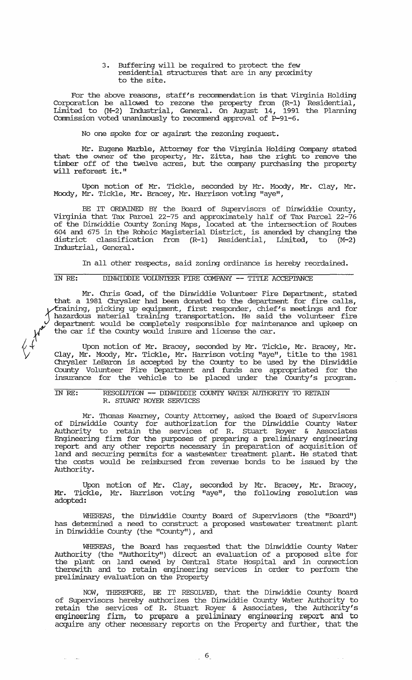3. Buffering will be required to protect the few residential structures that are in any proximity to the site.

For the above reasons, staff's recommendation is that Virginia Holding Corporation be allowed to rezone the property from (R-1) Residential, Limited to (M-2) Industrial, General. On August 14, 1991 the Planning Commission voted unanimously to recommend approval of P-91-6.

No one spoke for or against the rezoning request.

Mr. Eugene Marble, Attorney for the Virginia Holding Company stated that the owner of the property, Mr. zitta, has the right to remove the timber off of the twelve acres, but the company purchasing the property will reforest it."

Upon motion of Mr. Tickle, seconded by Mr. Moody, Mr. Clay, Mr • Moody, Mr. Tickle, Mr. Bracey, Mr. Harrison voting "aye",

BE IT ORDAINED BY the Board of Supervisors of Dinwiddie County, Virginia that Tax Parcel 22-75 and approximately half of Tax Parcel 22-76 of the Dinwiddie County zoning Maps, located at the intersection of Routes 604 and 675 in the Rohoic Magisterial District, is amended by changing the district classification from (R-1) Residential, Limited, to (M-2) Industrial, General.

In all other respects, said zoning ordinance is hereby reordained.

IN RE: DINWIDDIE VOIDNTEER FIRE COMPANY **--** TITlE ACCEPI'ANCE

Mr. Chris Goad, of the Dinwiddie Volunteer Fire Department, stated that a 1981 Chrysler had been donated to the department for fire calls, ~ining, picking up equipment, first responder, chief's meetings and for 1 hazardous material training transportation. He said the volunteer fire ~v department would be completely responsible for maintenance and upkeep on *K'* the car if the County would insure and license the car.

 $\sqrt[4]{+}$  Upon motion of Mr. Bracey, seconded by Mr. Tickle, Mr. Bracey, Mr.<br>V Clay, Mr. Moody, Mr. Tickle, Mr. Harrison voting "aye", title to the 1981 Chrysler IeBa:ron is accepted by the County to be used by the Dinwiddie County Volunteer Fire Department and funds are appropriated for the insurance for the vehicle to be placed under the County's program.

### IN RE: RESOIDTION **--** DINWIDDIE COUNTY WATER AUTHORITY 'IO RETAIN R. STUART ROYER SERVICES

Mr. 'Thomas Kearney, County Attorney, asked the Board of Supervisors of Dinwiddie County for authorization for the Dinwiddie County Water Authority to retain the services of R. stuart Royer & Associates Engineering firm for the purposes of preparing a preliminary engineering report and any other reports necessary in preparation of acquisition of land and securing permits for a wastewater treatment plant. He stated that the costs would be reimbursed from revenue bonds to be issued by the Authority.

Upon motion of Mr. Clay, Mr. Tickle, Mr. Harrison voting adopted: seconded by Mr. Bracey, Mr. Bracey, "aye", the following resolution was

WHEREAS, the Dinwiddie County Board of Supervisors (the "Board") has determined a need to construct a proposed wastewater treatment plant in Dinwiddie County (the "County"), and

WHEREAS, the Board has requested that the Dinwiddie County Water Authority (the "Authority") direct an evaluation of a proposed site for the plant on land owned by Central State Hospital and in connection therewith and to retain engineering services in order to perform the preliminary evaluation on the Property

NOW, THEREFORE, BE IT RESOLVED, that the Dinwiddie County Board of Supervisors hereby authorizes the Dinwiddie County Water Authority to retain the services of R. Stuart Royer & Associates, the Authority's engineering firm, to prepare a preliminary engineering report and to acquire any other necessary reports on the Property and further, that the

 $\tau \rightarrow \tau$ 

للقارب اللذا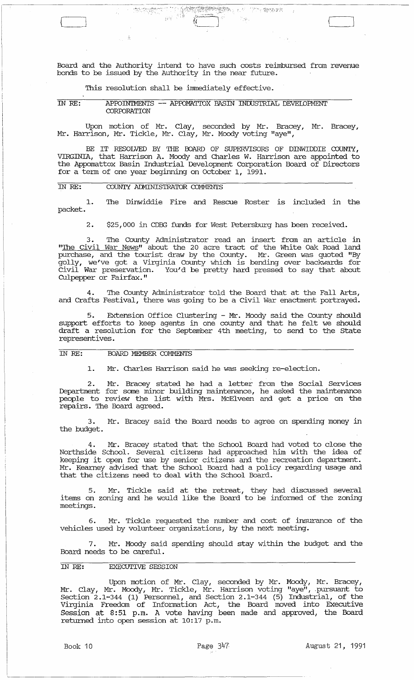Board and the Authority intend to have such costs reimbursed from revenue bonds to be issued by the Authority in the near future.

 $\frac{1}{2}$  ,  $\frac{1}{2}$  ....

了。"《紫檀家乡》

 $\hat{\mathbb{P}}_{\mathcal{M}}$ 

This resolution shall be immediately effective.

IN *RE:* APFOINTMENTS -- APFOMATIDX BASIN INDUSTRIAL DEVEIDFMENT **CORPORATION** 

Upon motion of Mr. Clay, seconded by Mr. Bracey, Mr. Bracey, Mr. Harrison, Mr. Tickle, Mr. Clay, Mr. Moody voting "aye",

BE IT RESOLVED BY THE BOARD OF SUPERVISORS OF DINWIDDIE COUNTY, VIRGINIA, that Harrison A. Moody and Charles W. Harrison are appointed to the Appomattox Basin Industrial Development Corporation Board of Directors for a term of one year beginning on October I, 1991.

### IN *RE:*  COUNTY ADMINISTRATOR COMMENTS

 $\begin{array}{c} \begin{array}{c} \end{array} \end{array}$ 

1. packet. The Dinwiddie Fire and Rescue Roster is included in the

2. \$25,000 in CDBG funds for West Petersburg has been received.

The County Administrator read an insert from an article in "The Civil War News" about the 20 acre tract of the White Oak Road land purchase, and the tourist draw by the County. Mr. Green was quoted "By golly, we've got a Virginia County which is bending over backwards for civil War preservation. You'd be pretty hard pressed to say that about CUlpepper or Fairfax."

4. The County Administrator told the Board that at the Fall Arts, and Crafts Festival, there was going to be a Civil War enactment portrayed.

5. Extension Office Clustering - Mr. Moody said the County should support efforts to keep agents in one county and that he felt we should draft a resolution for the September 4th meeting, to send to the State representives.

### IN *RE:* BOARD MEMBER COMMENTS

1. Mr. Charles Harrison said he was seeking re-election.

2. Mr. Bracey stated he had a letter from the Social Services Department for some minor building maintenance, he asked the maintenance people to review the list with Mrs. McElveen and get a price on the repairs. The Board agreed.

3. Mr. Bracey said the Board needs to agree on spending money in the budget.

4. Mr. Bracey stated that the School Board had voted to close the Northside School. Several citizens had approached him with the idea of keeping it open for use by senior citizens and the recreation department. Mr. Kearney advised that the school Board had a policy regarding usage and that the citizens need to deal with the school Board.

5. Mr. Tickle said at the retreat, they had discussed several items on zoning and he would like the Board to be informed of the zoning meetings.

6. Mr. Tickle requested the number and cost of insurance of the vehicles used by volunteer organizations, by the next meeting.

7. Mr. Moody said spending should stay within the budget and the Board needs to be careful.

### IN *RE:* EXECUTIVE SESSION

Upon motion of Mr. Clay, seconded by Mr. Moody, Mr. Bracey, Mr. Clay, Mr. Moody, Mr. Tickle, Mr. Harrison voting "aye", .pursuant to section 2.1-344 (1) Personnel, and section 2.1-344 (5) Industrial, of the Virginia Freedom of Information Act, the Board moved into Executive Session at 8:51 p.m. A vote having been made and approved, the Board returned into open session at 10:17 p.m.

 $\begin{array}{|c|c|c|c|c|}\hline \quad \quad & \quad \quad & \quad \quad & \quad \quad \\ \hline \quad \quad & \quad \quad & \quad \quad & \quad \quad & \quad \quad \\ \hline \quad \quad & \quad \quad & \quad \quad & \quad \quad & \quad \quad \\ \hline \quad \quad & \quad \quad & \quad \quad & \quad \quad & \quad \quad \\ \hline \quad \quad & \quad \quad & \quad \quad & \quad \quad & \quad \quad \\ \hline \quad \quad & \quad \quad & \quad \quad & \quad \quad & \quad \quad \\ \hline \quad \quad & \quad \quad & \quad \quad & \quad \quad & \quad \quad \\ \hline \quad \quad & \quad \quad &$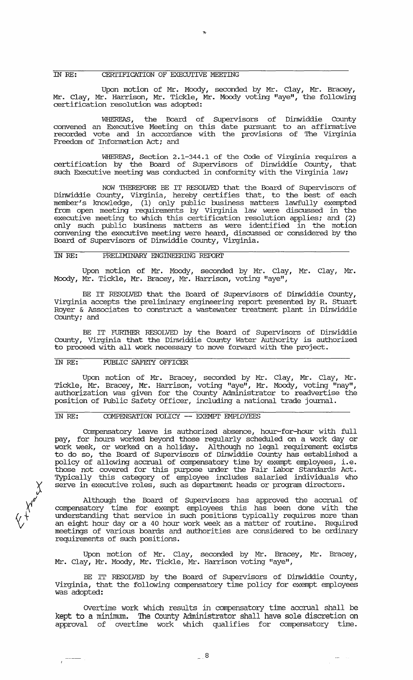# IN RE: CERI'IFICATION OF EXECUTIVE MEEI'ING

Upon motion of Mr. Moody, seconded by Mr. Clay, Mr. Bracey, Mr. Clay, Mr. Harrison, Mr. Tickle, Mr. Moody voting "aye", the following certification resolution was adopted:

WHEREAS, the Board of Supervisors of Dinwiddie County convened an Executive Meeting on this date pursuant to an affinnative recorded vote and in accordance with the provisions of The Virginia Freedom of Information Act; and

WHEREAS, section 2.l-344.l of the Code of Virginia requires a certification by the Board of supervisors of Dinwiddie County, that such Executive meeting was conducted in conformity with the Virginia law;

NOW THEREFDRE BE IT RESOLVED that the Board of Supervisors of Dinwiddie County, Virginia, hereby certifies that, to the best of each member's knowledge, (l) only public business matters lawfully exempted from open meeting requirements by Virginia law were discussed in the executive meeting to which this certification resolution applies; and (2) only such public business matters as were identified in the motion convening the executive meeting were heard, discussed or considered by the Board of Supervisors of Dinwiddie County, Virginia.

### IN RE: PRELIMINARY ENGINEERING REFDRI'

Upon motion of Mr. Moody, seconded by Mr. Clay, Mr. Clay, Mr. Moody, Mr. Tickle, Mr. Bracey, Mr. Harrison, voting "aye",

BE IT RESOLVED that the Board of Supervisors of Dinwiddie County, Virginia accepts the preliminary engineering report presented by R. stuart Royer & Associates to construct a wastewater treatment plant in Dinwiddie County; and

BE IT FURTHER RESOLVED by the Board of Supervisors of Dinwiddie County, Virginia that the Dinwiddie County Water Authority is authorized to proceed with all work necessary to move fo:rward with the project.

### IN RE: PUBLIC SAFEI'Y OFFICER

Upon motion of Mr. Bracey, seconded by Mr. Clay, Mr. Clay, Mr. Tickle, Mr. Bracey, Mr. Harrison, voting "aye", Mr. Moody, voting "nay", authorization was given for the County Administrator to readvertise the position of Public Safety Officer, including a national trade journal.

# IN RE: COMPENSATION POLICY -- EXEMPT EMPIOYEES

Compensatory leave is authorized absence, hour-for-hour with full pay, for hours worked beyond those regularly scheduled on a work day or . I', week, or worked on a holiday. Although no legal requirement exists to do so, the Board of Supervisors of Dinwiddie County has established a policy of allowing accrual of compensatory time by exempt employees, i.e. those not covered for this purpose under the Fair Labor Standards Act. Typically this category of employee includes salaried individuals who serve in executive roles, such as department heads or program directors.

Although the Board of supervisors has approved the accrual of compensatory time for exempt employees this has been done with the understanding that service in such positions typically requires more than an eight hour day or a 40 hour work week as a matter of routine. Required meetings of various boards and authorities are considered to be ordinary requirements of such positions.

Upon motion of Mr. Clay, seconded by Mr. Bracey, Mr. Bracey, Mr. Clay, Mr. Moody, Mr. Tickle, Mr. Harrison voting "aye",

BE IT RESOLVED by the Board of Supervisors of Dinwiddie County, Virginia, that the following compensatory time policy for exempt employees was adopted:

OVertime work which results in compensatory time accrual shall be kept to a minimum. The County Administrator shall have sale discretion on approval of overtime work which qualifies for compensatory time.

~ *Xl*   $\Diamond_+$ 

 $\frac{1}{2} \frac{1}{2} \frac{1}{2} \frac{1}{2} \frac{1}{2} \frac{1}{2} \frac{1}{2} \frac{1}{2} \frac{1}{2} \frac{1}{2} \frac{1}{2} \frac{1}{2} \frac{1}{2} \frac{1}{2} \frac{1}{2} \frac{1}{2} \frac{1}{2} \frac{1}{2} \frac{1}{2} \frac{1}{2} \frac{1}{2} \frac{1}{2} \frac{1}{2} \frac{1}{2} \frac{1}{2} \frac{1}{2} \frac{1}{2} \frac{1}{2} \frac{1}{2} \frac{1}{2} \frac{1}{2} \frac{$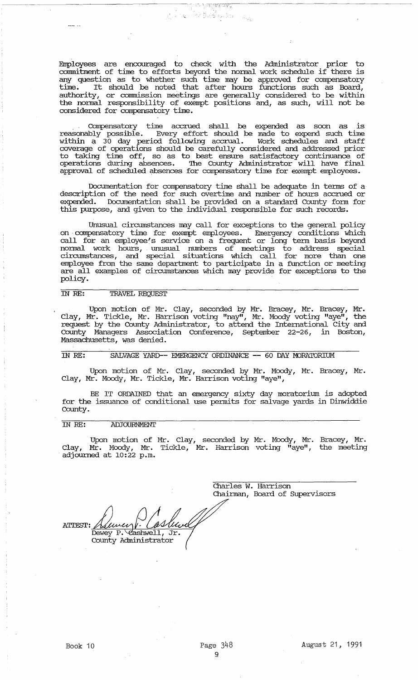Employees are encouraged to check with the Administrator prior to commitment of time to efforts beyond the normal work schedule if there is any question as to whether such time may be approved for compensatory  $t$ ime. It should be noted that after hours functions such as Board, authority, or commission meetings are generally considered to be within the nonnal responsibility of exempt positions and, as such, will not be considered for compensatory time.

भारत अन्तर सम्बद्धाः सम्बद्धाः स्टब्स्<br>स्टब्स्

. compensatory time accrued shall be expended as soon as is reasonably possible. Every effort should be made to expend such time within a 30 day period following accrual. Work schedules and staff coverage of operations should be carefully considered and addressed prior to taking time off, so as to best ensure satisfactory continuance of operations during absences. '!he County Administrator will have final approval of scheduled absences for compensatory time for exempt employees.

Documentation for compensatory time shall be adequate in tenus of a description of the need for such overtime and number of hours accrued or expended. Documentation shall be provided on a standard County fonn for this purpose, and given to the individual responsible for such records.

Unusual circmnstances may call for exceptions to the general policy on . compensatory time for exempt employees. Emergency conditions which call for an employee's service on a frequent or long term basis beyond nonnal work hours, unusual numbers of meetings to address special circumstances, and special situations which call for more than one employee from the same department to participate in a function or meeting are all examples of circumstances which may provide for exceptions to the policy.

### IN *RE:* TRAVEL REQUEST

Upon motion of Mr. Clay, seconded by Mr. Bracey, Mr. Bracey, Mr. Clay, Mr. Tickle, Mr. Harrison voting "nay", Mr. Moody voting "aye", the Clay, Mr. Tickle, Mr. Harrison voting "nay", Mr. Moody voting "aye", the request by the County Administrator, to attend the International City and County Managers Association Conference, September 22-26, in Boston, Massachusetts, was denied.

IN RE: SALVAGE YARD-- EMERGENCY ORDINANCE -- 60 DAY MORATORIUM

Upon motion of Mr. Clay, seconded by Mr. Moody, Mr. Bracey, Mr. Clay, Mr. Moody, Mr. Tickle, Mr. Harrison voting "aye",

BE IT ORDAINED that an emergency sixty day moratorium is adopted for the issuance of conditional use pennits for salvage yards in Dinwiddie County.

### IN *RE:* ADJOURNMENT

Upon motion of Mr. Clay, seconded by Mr. Moody, Mr. Bracey, Mr. Clay, Mr. Moody, Mr. Tickle, Mr. Harrison voting "aye", the meeting  $\frac{d}{d}$  adjourned at 10:22 p.m.

> Charles W. Harrison Chainnan, Board of supervisors

**ATTEST:** Dewey P. Cashwell Jr. County Administrator